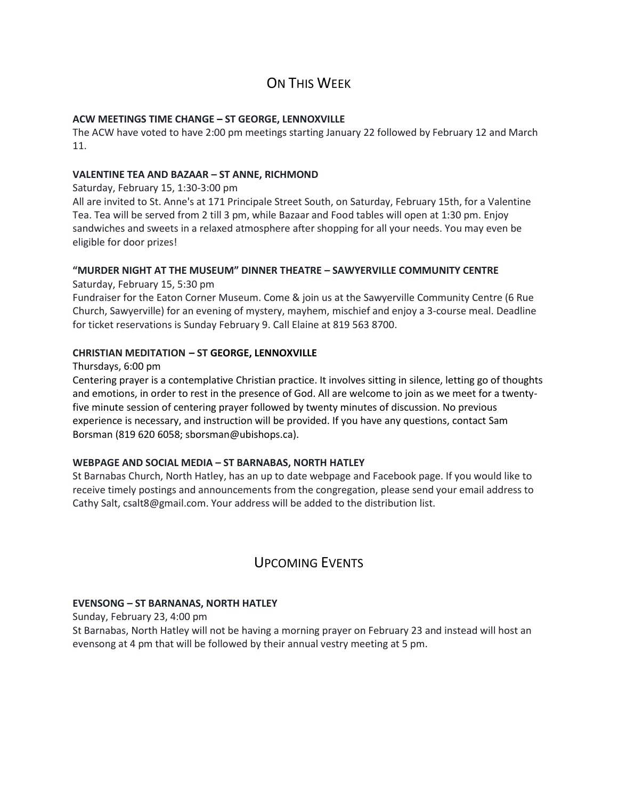## ON THIS WFFK

#### **ACW MEETINGS TIME CHANGE – ST GEORGE, LENNOXVILLE**

The ACW have voted to have 2:00 pm meetings starting January 22 followed by February 12 and March 11.

#### **VALENTINE TEA AND BAZAAR – ST ANNE, RICHMOND**

Saturday, February 15, 1:30-3:00 pm

All are invited to St. Anne's at 171 Principale Street South, on Saturday, February 15th, for a Valentine Tea. Tea will be served from 2 till 3 pm, while Bazaar and Food tables will open at 1:30 pm. Enjoy sandwiches and sweets in a relaxed atmosphere after shopping for all your needs. You may even be eligible for door prizes!

### **"MURDER NIGHT AT THE MUSEUM" DINNER THEATRE – SAWYERVILLE COMMUNITY CENTRE**

Saturday, February 15, 5:30 pm

Fundraiser for the Eaton Corner Museum. Come & join us at the Sawyerville Community Centre (6 Rue Church, Sawyerville) for an evening of mystery, mayhem, mischief and enjoy a 3-course meal. Deadline for ticket reservations is Sunday February 9. Call Elaine at 819 563 8700.

#### **CHRISTIAN MEDITATION – ST GEORGE, LENNOXVILLE**

Thursdays, 6:00 pm

Centering prayer is a contemplative Christian practice. It involves sitting in silence, letting go of thoughts and emotions, in order to rest in the presence of God. All are welcome to join as we meet for a twentyfive minute session of centering prayer followed by twenty minutes of discussion. No previous experience is necessary, and instruction will be provided. If you have any questions, contact Sam Borsman (819 620 6058; sborsman@ubishops.ca).

#### **WEBPAGE AND SOCIAL MEDIA – ST BARNABAS, NORTH HATLEY**

St Barnabas Church, North Hatley, has an up to date webpage and Facebook page. If you would like to receive timely postings and announcements from the congregation, please send your email address to Cathy Salt, csalt8@gmail.com. Your address will be added to the distribution list.

## UPCOMING EVENTS

#### **EVENSONG – ST BARNANAS, NORTH HATLEY**

Sunday, February 23, 4:00 pm

St Barnabas, North Hatley will not be having a morning prayer on February 23 and instead will host an evensong at 4 pm that will be followed by their annual vestry meeting at 5 pm.